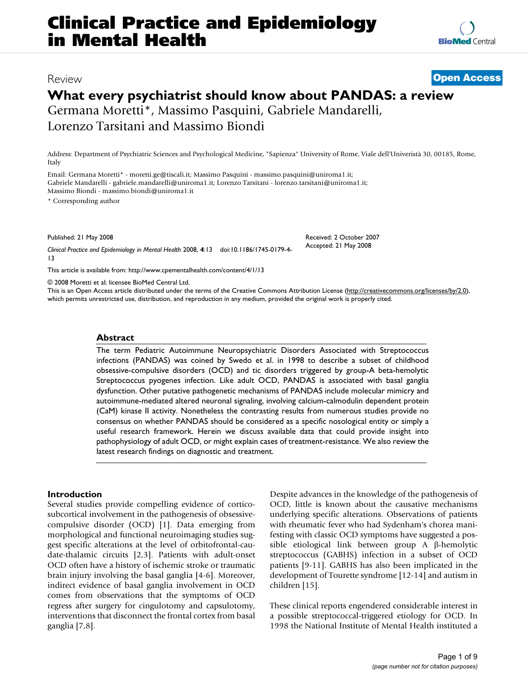# Review **[Open Access](http://www.biomedcentral.com/info/about/charter/)**

# **What every psychiatrist should know about PANDAS: a review** Germana Moretti\*, Massimo Pasquini, Gabriele Mandarelli,

Lorenzo Tarsitani and Massimo Biondi

Address: Department of Psychiatric Sciences and Psychological Medicine, "Sapienza" University of Rome, Viale dell'Univeristà 30, 00185, Rome, Italy

Email: Germana Moretti\* - moretti.ge@tiscali.it; Massimo Pasquini - massimo.pasquini@uniroma1.it; Gabriele Mandarelli - gabriele.mandarelli@uniroma1.it; Lorenzo Tarsitani - lorenzo.tarsitani@uniroma1.it; Massimo Biondi - massimo.biondi@uniroma1.it

\* Corresponding author

Published: 21 May 2008

*Clinical Practice and Epidemiology in Mental Health* 2008, **4**:13 doi:10.1186/1745-0179-4- 13

[This article is available from: http://www.cpementalhealth.com/content/4/1/13](http://www.cpementalhealth.com/content/4/1/13)

© 2008 Moretti et al; licensee BioMed Central Ltd.

This is an Open Access article distributed under the terms of the Creative Commons Attribution License [\(http://creativecommons.org/licenses/by/2.0\)](http://creativecommons.org/licenses/by/2.0), which permits unrestricted use, distribution, and reproduction in any medium, provided the original work is properly cited.

#### **Abstract**

The term Pediatric Autoimmune Neuropsychiatric Disorders Associated with Streptococcus infections (PANDAS) was coined by Swedo et al. in 1998 to describe a subset of childhood obsessive-compulsive disorders (OCD) and tic disorders triggered by group-A beta-hemolytic Streptococcus pyogenes infection. Like adult OCD, PANDAS is associated with basal ganglia dysfunction. Other putative pathogenetic mechanisms of PANDAS include molecular mimicry and autoimmune-mediated altered neuronal signaling, involving calcium-calmodulin dependent protein (CaM) kinase II activity. Nonetheless the contrasting results from numerous studies provide no consensus on whether PANDAS should be considered as a specific nosological entity or simply a useful research framework. Herein we discuss available data that could provide insight into pathophysiology of adult OCD, or might explain cases of treatment-resistance. We also review the latest research findings on diagnostic and treatment.

#### **Introduction**

Several studies provide compelling evidence of corticosubcortical involvement in the pathogenesis of obsessivecompulsive disorder (OCD) [1]. Data emerging from morphological and functional neuroimaging studies suggest specific alterations at the level of orbitofrontal-caudate-thalamic circuits [2,3]. Patients with adult-onset OCD often have a history of ischemic stroke or traumatic brain injury involving the basal ganglia [4-6]. Moreover, indirect evidence of basal ganglia involvement in OCD comes from observations that the symptoms of OCD regress after surgery for cingulotomy and capsulotomy, interventions that disconnect the frontal cortex from basal ganglia [7,8].

Despite advances in the knowledge of the pathogenesis of OCD, little is known about the causative mechanisms underlying specific alterations. Observations of patients with rheumatic fever who had Sydenham's chorea manifesting with classic OCD symptoms have suggested a possible etiological link between group A β-hemolytic streptococcus (GABHS) infection in a subset of OCD patients [9-11]. GABHS has also been implicated in the development of Tourette syndrome [12-14] and autism in children [15].

Received: 2 October 2007 Accepted: 21 May 2008

These clinical reports engendered considerable interest in a possible streptococcal-triggered etiology for OCD. In 1998 the National Institute of Mental Health instituted a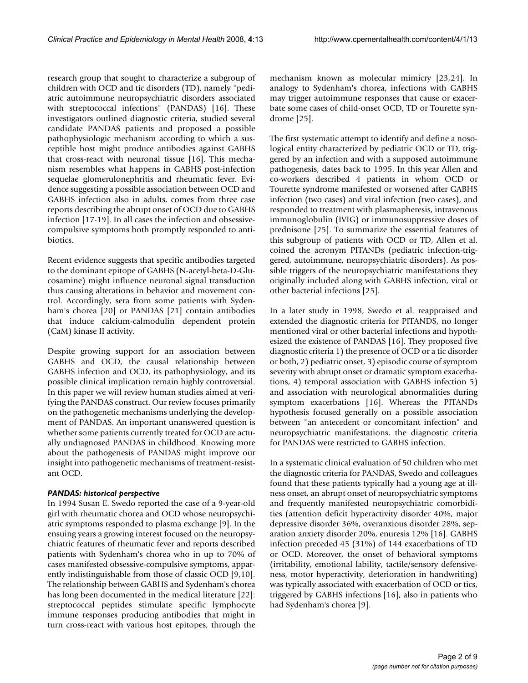research group that sought to characterize a subgroup of children with OCD and tic disorders (TD), namely "pediatric autoimmune neuropsychiatric disorders associated with streptococcal infections" (PANDAS) [16]. These investigators outlined diagnostic criteria, studied several candidate PANDAS patients and proposed a possible pathophysiologic mechanism according to which a susceptible host might produce antibodies against GABHS that cross-react with neuronal tissue [16]. This mechanism resembles what happens in GABHS post-infection sequelae glomerulonephritis and rheumatic fever. Evidence suggesting a possible association between OCD and GABHS infection also in adults, comes from three case reports describing the abrupt onset of OCD due to GABHS infection [17-19]. In all cases the infection and obsessivecompulsive symptoms both promptly responded to antibiotics.

Recent evidence suggests that specific antibodies targeted to the dominant epitope of GABHS (N-acetyl-beta-D-Glucosamine) might influence neuronal signal transduction thus causing alterations in behavior and movement control. Accordingly, sera from some patients with Sydenham's chorea [20] or PANDAS [21] contain antibodies that induce calcium-calmodulin dependent protein (CaM) kinase II activity.

Despite growing support for an association between GABHS and OCD, the causal relationship between GABHS infection and OCD, its pathophysiology, and its possible clinical implication remain highly controversial. In this paper we will review human studies aimed at verifying the PANDAS construct. Our review focuses primarily on the pathogenetic mechanisms underlying the development of PANDAS. An important unanswered question is whether some patients currently treated for OCD are actually undiagnosed PANDAS in childhood. Knowing more about the pathogenesis of PANDAS might improve our insight into pathogenetic mechanisms of treatment-resistant OCD.

# *PANDAS: historical perspective*

In 1994 Susan E. Swedo reported the case of a 9-year-old girl with rheumatic chorea and OCD whose neuropsychiatric symptoms responded to plasma exchange [9]. In the ensuing years a growing interest focused on the neuropsychiatric features of rheumatic fever and reports described patients with Sydenham's chorea who in up to 70% of cases manifested obsessive-compulsive symptoms, apparently indistinguishable from those of classic OCD [9,10]. The relationship between GABHS and Sydenham's chorea has long been documented in the medical literature [22]: streptococcal peptides stimulate specific lymphocyte immune responses producing antibodies that might in turn cross-react with various host epitopes, through the mechanism known as molecular mimicry [23,24]. In analogy to Sydenham's chorea, infections with GABHS may trigger autoimmune responses that cause or exacerbate some cases of child-onset OCD, TD or Tourette syndrome [25].

The first systematic attempt to identify and define a nosological entity characterized by pediatric OCD or TD, triggered by an infection and with a supposed autoimmune pathogenesis, dates back to 1995. In this year Allen and co-workers described 4 patients in whom OCD or Tourette syndrome manifested or worsened after GABHS infection (two cases) and viral infection (two cases), and responded to treatment with plasmapheresis, intravenous immunoglobulin (IVIG) or immunosuppressive doses of prednisone [25]. To summarize the essential features of this subgroup of patients with OCD or TD, Allen et al. coined the acronym PITANDs (pediatric infection-triggered, autoimmune, neuropsychiatric disorders). As possible triggers of the neuropsychiatric manifestations they originally included along with GABHS infection, viral or other bacterial infections [25].

In a later study in 1998, Swedo et al. reappraised and extended the diagnostic criteria for PITANDS, no longer mentioned viral or other bacterial infections and hypothesized the existence of PANDAS [16]. They proposed five diagnostic criteria 1) the presence of OCD or a tic disorder or both, 2) pediatric onset, 3) episodic course of symptom severity with abrupt onset or dramatic symptom exacerbations, 4) temporal association with GABHS infection 5) and association with neurological abnormalities during symptom exacerbations [16]. Whereas the PITANDs hypothesis focused generally on a possible association between "an antecedent or concomitant infection" and neuropsychiatric manifestations, the diagnostic criteria for PANDAS were restricted to GABHS infection.

In a systematic clinical evaluation of 50 children who met the diagnostic criteria for PANDAS, Swedo and colleagues found that these patients typically had a young age at illness onset, an abrupt onset of neuropsychiatric symptoms and frequently manifested neuropsychiatric comorbidities (attention deficit hyperactivity disorder 40%, major depressive disorder 36%, overanxious disorder 28%, separation anxiety disorder 20%, enuresis 12% [16]. GABHS infection preceded 45 (31%) of 144 exacerbations of TD or OCD. Moreover, the onset of behavioral symptoms (irritability, emotional lability, tactile/sensory defensiveness, motor hyperactivity, deterioration in handwriting) was typically associated with exacerbation of OCD or tics, triggered by GABHS infections [16], also in patients who had Sydenham's chorea [9].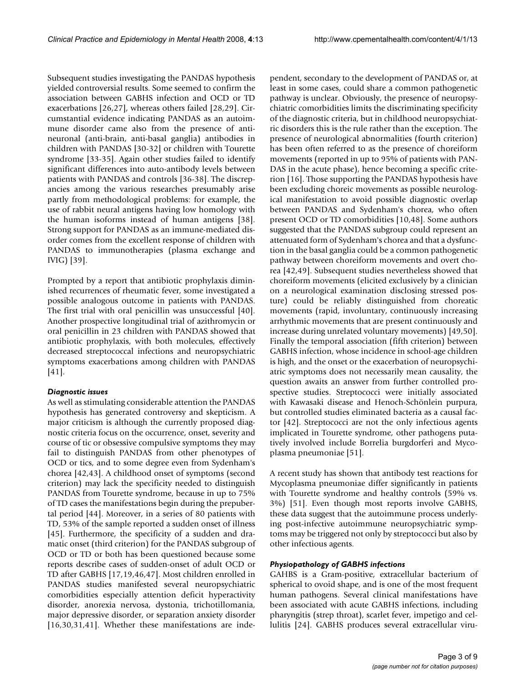Subsequent studies investigating the PANDAS hypothesis yielded controversial results. Some seemed to confirm the association between GABHS infection and OCD or TD exacerbations [26,27], whereas others failed [28,29]. Circumstantial evidence indicating PANDAS as an autoimmune disorder came also from the presence of antineuronal (anti-brain, anti-basal ganglia) antibodies in children with PANDAS [30-32] or children with Tourette syndrome [33-35]. Again other studies failed to identify significant differences into auto-antibody levels between patients with PANDAS and controls [36-38]. The discrepancies among the various researches presumably arise partly from methodological problems: for example, the use of rabbit neural antigens having low homology with the human isoforms instead of human antigens [38]. Strong support for PANDAS as an immune-mediated disorder comes from the excellent response of children with PANDAS to immunotherapies (plasma exchange and IVIG) [39].

Prompted by a report that antibiotic prophylaxis diminished recurrences of rheumatic fever, some investigated a possible analogous outcome in patients with PANDAS. The first trial with oral penicillin was unsuccessful [40]. Another prospective longitudinal trial of azithromycin or oral penicillin in 23 children with PANDAS showed that antibiotic prophylaxis, with both molecules, effectively decreased streptococcal infections and neuropsychiatric symptoms exacerbations among children with PANDAS [41].

#### *Diagnostic issues*

As well as stimulating considerable attention the PANDAS hypothesis has generated controversy and skepticism. A major criticism is although the currently proposed diagnostic criteria focus on the occurrence, onset, severity and course of tic or obsessive compulsive symptoms they may fail to distinguish PANDAS from other phenotypes of OCD or tics, and to some degree even from Sydenham's chorea [42,43]. A childhood onset of symptoms (second criterion) may lack the specificity needed to distinguish PANDAS from Tourette syndrome, because in up to 75% of TD cases the manifestations begin during the prepubertal period [44]. Moreover, in a series of 80 patients with TD, 53% of the sample reported a sudden onset of illness [45]. Furthermore, the specificity of a sudden and dramatic onset (third criterion) for the PANDAS subgroup of OCD or TD or both has been questioned because some reports describe cases of sudden-onset of adult OCD or TD after GABHS [17,19,46,47]. Most children enrolled in PANDAS studies manifested several neuropsychiatric comorbidities especially attention deficit hyperactivity disorder, anorexia nervosa, dystonia, trichotillomania, major depressive disorder, or separation anxiety disorder [16,30,31,41]. Whether these manifestations are independent, secondary to the development of PANDAS or, at least in some cases, could share a common pathogenetic pathway is unclear. Obviously, the presence of neuropsychiatric comorbidities limits the discriminating specificity of the diagnostic criteria, but in childhood neuropsychiatric disorders this is the rule rather than the exception. The presence of neurological abnormalities (fourth criterion) has been often referred to as the presence of choreiform movements (reported in up to 95% of patients with PAN-DAS in the acute phase), hence becoming a specific criterion [16]. Those supporting the PANDAS hypothesis have been excluding choreic movements as possible neurological manifestation to avoid possible diagnostic overlap between PANDAS and Sydenham's chorea, who often present OCD or TD comorbidities [10,48]. Some authors suggested that the PANDAS subgroup could represent an attenuated form of Sydenham's chorea and that a dysfunction in the basal ganglia could be a common pathogenetic pathway between choreiform movements and overt chorea [42,49]. Subsequent studies nevertheless showed that choreiform movements (elicited exclusively by a clinician on a neurological examination disclosing stressed posture) could be reliably distinguished from choreatic movements (rapid, involuntary, continuously increasing arrhythmic movements that are present continuously and increase during unrelated voluntary movements) [49,50]. Finally the temporal association (fifth criterion) between GABHS infection, whose incidence in school-age children is high, and the onset or the exacerbation of neuropsychiatric symptoms does not necessarily mean causality, the question awaits an answer from further controlled prospective studies. Streptococci were initially associated with Kawasaki disease and Henoch-Schönlein purpura, but controlled studies eliminated bacteria as a causal factor [42]. Streptococci are not the only infectious agents implicated in Tourette syndrome, other pathogens putatively involved include Borrelia burgdorferi and Mycoplasma pneumoniae [51].

A recent study has shown that antibody test reactions for Mycoplasma pneumoniae differ significantly in patients with Tourette syndrome and healthy controls (59% vs. 3%) [51]. Even though most reports involve GABHS, these data suggest that the autoimmune process underlying post-infective autoimmune neuropsychiatric symptoms may be triggered not only by streptococci but also by other infectious agents.

#### *Physiopathology of GABHS infections*

GAHBS is a Gram-positive, extracellular bacterium of spherical to ovoid shape, and is one of the most frequent human pathogens. Several clinical manifestations have been associated with acute GABHS infections, including pharyngitis (strep throat), scarlet fever, impetigo and cellulitis [24]. GABHS produces several extracellular viru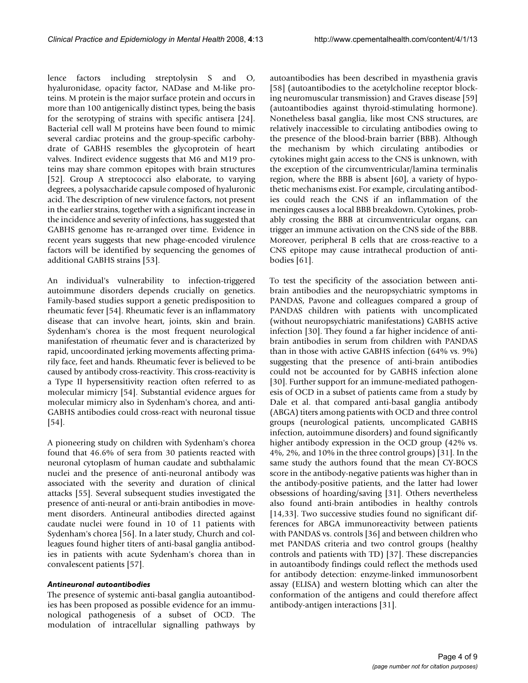lence factors including streptolysin S and O, hyaluronidase, opacity factor, NADase and M-like proteins. M protein is the major surface protein and occurs in more than 100 antigenically distinct types, being the basis for the serotyping of strains with specific antisera [24]. Bacterial cell wall M proteins have been found to mimic several cardiac proteins and the group-specific carbohydrate of GABHS resembles the glycoprotein of heart valves. Indirect evidence suggests that M6 and M19 proteins may share common epitopes with brain structures [52]. Group A streptococci also elaborate, to varying degrees, a polysaccharide capsule composed of hyaluronic acid. The description of new virulence factors, not present in the earlier strains, together with a significant increase in the incidence and severity of infections, has suggested that GABHS genome has re-arranged over time. Evidence in recent years suggests that new phage-encoded virulence factors will be identified by sequencing the genomes of additional GABHS strains [53].

An individual's vulnerability to infection-triggered autoimmune disorders depends crucially on genetics. Family-based studies support a genetic predisposition to rheumatic fever [54]. Rheumatic fever is an inflammatory disease that can involve heart, joints, skin and brain. Sydenham's chorea is the most frequent neurological manifestation of rheumatic fever and is characterized by rapid, uncoordinated jerking movements affecting primarily face, feet and hands. Rheumatic fever is believed to be caused by antibody cross-reactivity. This cross-reactivity is a Type II hypersensitivity reaction often referred to as molecular mimicry [54]. Substantial evidence argues for molecular mimicry also in Sydenham's chorea, and anti-GABHS antibodies could cross-react with neuronal tissue [54].

A pioneering study on children with Sydenham's chorea found that 46.6% of sera from 30 patients reacted with neuronal cytoplasm of human caudate and subthalamic nuclei and the presence of anti-neuronal antibody was associated with the severity and duration of clinical attacks [55]. Several subsequent studies investigated the presence of anti-neural or anti-brain antibodies in movement disorders. Antineural antibodies directed against caudate nuclei were found in 10 of 11 patients with Sydenham's chorea [56]. In a later study, Church and colleagues found higher titers of anti-basal ganglia antibodies in patients with acute Sydenham's chorea than in convalescent patients [57].

# *Antineuronal autoantibodies*

The presence of systemic anti-basal ganglia autoantibodies has been proposed as possible evidence for an immunological pathogenesis of a subset of OCD. The modulation of intracellular signalling pathways by autoantibodies has been described in myasthenia gravis [58] (autoantibodies to the acetylcholine receptor blocking neuromuscular transmission) and Graves disease [59] (autoantibodies against thyroid-stimulating hormone). Nonetheless basal ganglia, like most CNS structures, are relatively inaccessible to circulating antibodies owing to the presence of the blood-brain barrier (BBB). Although the mechanism by which circulating antibodies or cytokines might gain access to the CNS is unknown, with the exception of the circumventricular/lamina terminalis region, where the BBB is absent [60], a variety of hypothetic mechanisms exist. For example, circulating antibodies could reach the CNS if an inflammation of the meninges causes a local BBB breakdown. Cytokines, probably crossing the BBB at circumventricular organs, can trigger an immune activation on the CNS side of the BBB. Moreover, peripheral B cells that are cross-reactive to a CNS epitope may cause intrathecal production of antibodies [61].

To test the specificity of the association between antibrain antibodies and the neuropsychiatric symptoms in PANDAS, Pavone and colleagues compared a group of PANDAS children with patients with uncomplicated (without neuropsychiatric manifestations) GABHS active infection [30]. They found a far higher incidence of antibrain antibodies in serum from children with PANDAS than in those with active GABHS infection (64% vs. 9%) suggesting that the presence of anti-brain antibodies could not be accounted for by GABHS infection alone [30]. Further support for an immune-mediated pathogenesis of OCD in a subset of patients came from a study by Dale et al. that compared anti-basal ganglia antibody (ABGA) titers among patients with OCD and three control groups (neurological patients, uncomplicated GABHS infection, autoimmune disorders) and found significantly higher antibody expression in the OCD group (42% vs. 4%, 2%, and 10% in the three control groups) [31]. In the same study the authors found that the mean CY-BOCS score in the antibody-negative patients was higher than in the antibody-positive patients, and the latter had lower obsessions of hoarding/saving [31]. Others nevertheless also found anti-brain antibodies in healthy controls [14,33]. Two successive studies found no significant differences for ABGA immunoreactivity between patients with PANDAS vs. controls [36] and between children who met PANDAS criteria and two control groups (healthy controls and patients with TD) [37]. These discrepancies in autoantibody findings could reflect the methods used for antibody detection: enzyme-linked immunosorbent assay (ELISA) and western blotting which can alter the conformation of the antigens and could therefore affect antibody-antigen interactions [31].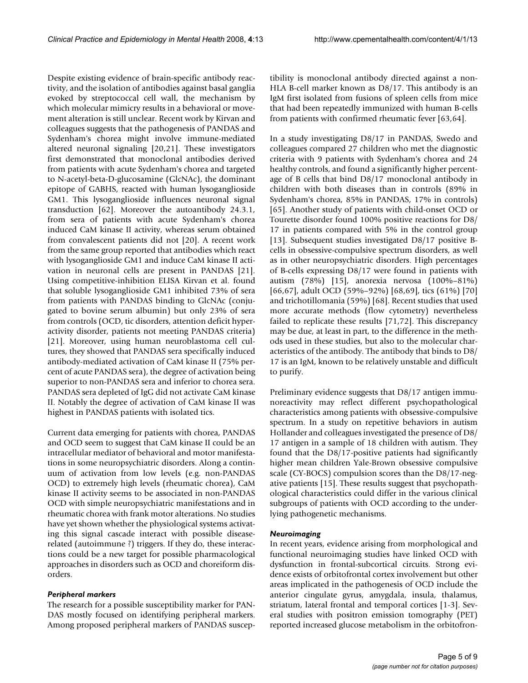Despite existing evidence of brain-specific antibody reactivity, and the isolation of antibodies against basal ganglia evoked by streptococcal cell wall, the mechanism by which molecular mimicry results in a behavioral or movement alteration is still unclear. Recent work by Kirvan and colleagues suggests that the pathogenesis of PANDAS and Sydenham's chorea might involve immune-mediated altered neuronal signaling [20,21]. These investigators first demonstrated that monoclonal antibodies derived from patients with acute Sydenham's chorea and targeted to N-acetyl-beta-D-glucosamine (GlcNAc), the dominant epitope of GABHS, reacted with human lysoganglioside GM1. This lysoganglioside influences neuronal signal transduction [62]. Moreover the autoantibody 24.3.1, from sera of patients with acute Sydenham's chorea induced CaM kinase II activity, whereas serum obtained from convalescent patients did not [20]. A recent work from the same group reported that antibodies which react with lysoganglioside GM1 and induce CaM kinase II activation in neuronal cells are present in PANDAS [21]. Using competitive-inhibition ELISA Kirvan et al. found that soluble lysoganglioside GM1 inhibited 73% of sera from patients with PANDAS binding to GlcNAc (conjugated to bovine serum albumin) but only 23% of sera from controls (OCD, tic disorders, attention deficit hyperactivity disorder, patients not meeting PANDAS criteria) [21]. Moreover, using human neuroblastoma cell cultures, they showed that PANDAS sera specifically induced antibody-mediated activation of CaM kinase II (75% percent of acute PANDAS sera), the degree of activation being superior to non-PANDAS sera and inferior to chorea sera. PANDAS sera depleted of IgG did not activate CaM kinase II. Notably the degree of activation of CaM kinase II was highest in PANDAS patients with isolated tics.

Current data emerging for patients with chorea, PANDAS and OCD seem to suggest that CaM kinase II could be an intracellular mediator of behavioral and motor manifestations in some neuropsychiatric disorders. Along a continuum of activation from low levels (e.g. non-PANDAS OCD) to extremely high levels (rheumatic chorea), CaM kinase II activity seems to be associated in non-PANDAS OCD with simple neuropsychiatric manifestations and in rheumatic chorea with frank motor alterations. No studies have yet shown whether the physiological systems activating this signal cascade interact with possible diseaserelated (autoimmune ?) triggers. If they do, these interactions could be a new target for possible pharmacological approaches in disorders such as OCD and choreiform disorders.

#### *Peripheral markers*

The research for a possible susceptibility marker for PAN-DAS mostly focused on identifying peripheral markers. Among proposed peripheral markers of PANDAS susceptibility is monoclonal antibody directed against a non-HLA B-cell marker known as D8/17. This antibody is an IgM first isolated from fusions of spleen cells from mice that had been repeatedly immunized with human B-cells from patients with confirmed rheumatic fever [63,64].

In a study investigating D8/17 in PANDAS, Swedo and colleagues compared 27 children who met the diagnostic criteria with 9 patients with Sydenham's chorea and 24 healthy controls, and found a significantly higher percentage of B cells that bind D8/17 monoclonal antibody in children with both diseases than in controls (89% in Sydenham's chorea, 85% in PANDAS, 17% in controls) [65]. Another study of patients with child-onset OCD or Tourette disorder found 100% positive reactions for D8/ 17 in patients compared with 5% in the control group [13]. Subsequent studies investigated D8/17 positive Bcells in obsessive-compulsive spectrum disorders, as well as in other neuropsychiatric disorders. High percentages of B-cells expressing D8/17 were found in patients with autism (78%) [15], anorexia nervosa (100%–81%) [66,67], adult OCD (59%–92%) [68,69], tics (61%) [70] and trichotillomania (59%) [68]. Recent studies that used more accurate methods (flow cytometry) nevertheless failed to replicate these results [71,72]. This discrepancy may be due, at least in part, to the difference in the methods used in these studies, but also to the molecular characteristics of the antibody. The antibody that binds to D8/ 17 is an IgM, known to be relatively unstable and difficult to purify.

Preliminary evidence suggests that D8/17 antigen immunoreactivity may reflect different psychopathological characteristics among patients with obsessive-compulsive spectrum. In a study on repetitive behaviors in autism Hollander and colleagues investigated the presence of D8/ 17 antigen in a sample of 18 children with autism. They found that the D8/17-positive patients had significantly higher mean children Yale-Brown obsessive compulsive scale (CY-BOCS) compulsion scores than the D8/17-negative patients [15]. These results suggest that psychopathological characteristics could differ in the various clinical subgroups of patients with OCD according to the underlying pathogenetic mechanisms.

#### *Neuroimaging*

In recent years, evidence arising from morphological and functional neuroimaging studies have linked OCD with dysfunction in frontal-subcortical circuits. Strong evidence exists of orbitofrontal cortex involvement but other areas implicated in the pathogenesis of OCD include the anterior cingulate gyrus, amygdala, insula, thalamus, striatum, lateral frontal and temporal cortices [1-3]. Several studies with positron emission tomography (PET) reported increased glucose metabolism in the orbitofron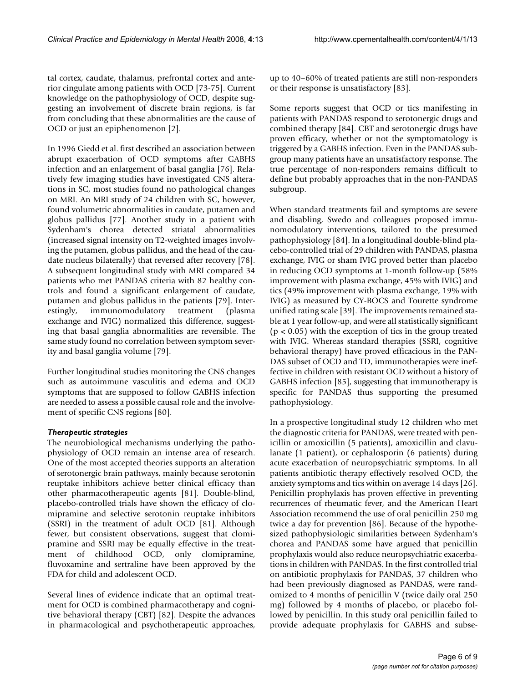tal cortex, caudate, thalamus, prefrontal cortex and anterior cingulate among patients with OCD [73-75]. Current knowledge on the pathophysiology of OCD, despite suggesting an involvement of discrete brain regions, is far from concluding that these abnormalities are the cause of OCD or just an epiphenomenon [2].

In 1996 Giedd et al. first described an association between abrupt exacerbation of OCD symptoms after GABHS infection and an enlargement of basal ganglia [76]. Relatively few imaging studies have investigated CNS alterations in SC, most studies found no pathological changes on MRI. An MRI study of 24 children with SC, however, found volumetric abnormalities in caudate, putamen and globus pallidus [77]. Another study in a patient with Sydenham's chorea detected striatal abnormalities (increased signal intensity on T2-weighted images involving the putamen, globus pallidus, and the head of the caudate nucleus bilaterally) that reversed after recovery [78]. A subsequent longitudinal study with MRI compared 34 patients who met PANDAS criteria with 82 healthy controls and found a significant enlargement of caudate, putamen and globus pallidus in the patients [79]. Interestingly, immunomodulatory treatment (plasma exchange and IVIG) normalized this difference, suggesting that basal ganglia abnormalities are reversible. The same study found no correlation between symptom severity and basal ganglia volume [79].

Further longitudinal studies monitoring the CNS changes such as autoimmune vasculitis and edema and OCD symptoms that are supposed to follow GABHS infection are needed to assess a possible causal role and the involvement of specific CNS regions [80].

#### *Therapeutic strategies*

The neurobiological mechanisms underlying the pathophysiology of OCD remain an intense area of research. One of the most accepted theories supports an alteration of serotonergic brain pathways, mainly because serotonin reuptake inhibitors achieve better clinical efficacy than other pharmacotherapeutic agents [81]. Double-blind, placebo-controlled trials have shown the efficacy of clomipramine and selective serotonin reuptake inhibitors (SSRI) in the treatment of adult OCD [81]. Although fewer, but consistent observations, suggest that clomipramine and SSRI may be equally effective in the treatment of childhood OCD, only clomipramine, fluvoxamine and sertraline have been approved by the FDA for child and adolescent OCD.

Several lines of evidence indicate that an optimal treatment for OCD is combined pharmacotherapy and cognitive behavioral therapy (CBT) [82]. Despite the advances in pharmacological and psychotherapeutic approaches,

up to 40–60% of treated patients are still non-responders or their response is unsatisfactory [83].

Some reports suggest that OCD or tics manifesting in patients with PANDAS respond to serotonergic drugs and combined therapy [84]. CBT and serotonergic drugs have proven efficacy, whether or not the symptomatology is triggered by a GABHS infection. Even in the PANDAS subgroup many patients have an unsatisfactory response. The true percentage of non-responders remains difficult to define but probably approaches that in the non-PANDAS subgroup.

When standard treatments fail and symptoms are severe and disabling, Swedo and colleagues proposed immunomodulatory interventions, tailored to the presumed pathophysiology [84]. In a longitudinal double-blind placebo-controlled trial of 29 children with PANDAS, plasma exchange, IVIG or sham IVIG proved better than placebo in reducing OCD symptoms at 1-month follow-up (58% improvement with plasma exchange, 45% with IVIG) and tics (49% improvement with plasma exchange, 19% with IVIG) as measured by CY-BOCS and Tourette syndrome unified rating scale [39]. The improvements remained stable at 1 year follow-up, and were all statistically significant  $(p < 0.05)$  with the exception of tics in the group treated with IVIG. Whereas standard therapies (SSRI, cognitive behavioral therapy) have proved efficacious in the PAN-DAS subset of OCD and TD, immunotherapies were ineffective in children with resistant OCD without a history of GABHS infection [85], suggesting that immunotherapy is specific for PANDAS thus supporting the presumed pathophysiology.

In a prospective longitudinal study 12 children who met the diagnostic criteria for PANDAS, were treated with penicillin or amoxicillin (5 patients), amoxicillin and clavulanate (1 patient), or cephalosporin (6 patients) during acute exacerbation of neuropsychiatric symptoms. In all patients antibiotic therapy effectively resolved OCD, the anxiety symptoms and tics within on average 14 days [26]. Penicillin prophylaxis has proven effective in preventing recurrences of rheumatic fever, and the American Heart Association recommend the use of oral penicillin 250 mg twice a day for prevention [86]. Because of the hypothesized pathophysiologic similarities between Sydenham's chorea and PANDAS some have argued that penicillin prophylaxis would also reduce neuropsychiatric exacerbations in children with PANDAS. In the first controlled trial on antibiotic prophylaxis for PANDAS, 37 children who had been previously diagnosed as PANDAS, were randomized to 4 months of penicillin V (twice daily oral 250 mg) followed by 4 months of placebo, or placebo followed by penicillin. In this study oral penicillin failed to provide adequate prophylaxis for GABHS and subse-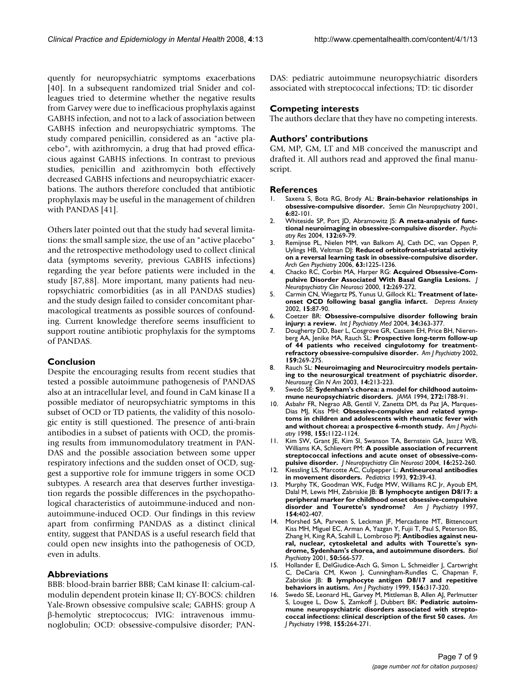quently for neuropsychiatric symptoms exacerbations [40]. In a subsequent randomized trial Snider and colleagues tried to determine whether the negative results from Garvey were due to inefficacious prophylaxis against GABHS infection, and not to a lack of association between GABHS infection and neuropsychiatric symptoms. The study compared penicillin, considered as an "active placebo", with azithromycin, a drug that had proved efficacious against GABHS infections. In contrast to previous studies, penicillin and azithromycin both effectively decreased GABHS infections and neuropsychiatric exacerbations. The authors therefore concluded that antibiotic prophylaxis may be useful in the management of children with PANDAS [41].

Others later pointed out that the study had several limitations: the small sample size, the use of an "active placebo" and the retrospective methodology used to collect clinical data (symptoms severity, previous GABHS infections) regarding the year before patients were included in the study [87,88]. More important, many patients had neuropsychiatric comorbidities (as in all PANDAS studies) and the study design failed to consider concomitant pharmacological treatments as possible sources of confounding. Current knowledge therefore seems insufficient to support routine antibiotic prophylaxis for the symptoms of PANDAS.

# **Conclusion**

Despite the encouraging results from recent studies that tested a possible autoimmune pathogenesis of PANDAS also at an intracellular level, and found in CaM kinase II a possible mediator of neuropsychiatric symptoms in this subset of OCD or TD patients, the validity of this nosologic entity is still questioned. The presence of anti-brain antibodies in a subset of patients with OCD, the promising results from immunomodulatory treatment in PAN-DAS and the possible association between some upper respiratory infections and the sudden onset of OCD, suggest a supportive role for immune triggers in some OCD subtypes. A research area that deserves further investigation regards the possible differences in the psychopathological characteristics of autoimmune-induced and nonautoimmune-induced OCD. Our findings in this review apart from confirming PANDAS as a distinct clinical entity, suggest that PANDAS is a useful research field that could open new insights into the pathogenesis of OCD, even in adults.

# **Abbreviations**

BBB: blood-brain barrier BBB; CaM kinase II: calcium-calmodulin dependent protein kinase II; CY-BOCS: children Yale-Brown obsessive compulsive scale; GABHS: group A β-hemolytic streptococcus; IVIG: intravenous immunoglobulin; OCD: obsessive-compulsive disorder; PAN- DAS: pediatric autoimmune neuropsychiatric disorders associated with streptococcal infections; TD: tic disorder

#### **Competing interests**

The authors declare that they have no competing interests.

### **Authors' contributions**

GM, MP, GM, LT and MB conceived the manuscript and drafted it. All authors read and approved the final manuscript.

#### **References**

- 1. Saxena S, Bota RG, Brody AL: **[Brain-behavior relationships in](http://www.ncbi.nlm.nih.gov/entrez/query.fcgi?cmd=Retrieve&db=PubMed&dopt=Abstract&list_uids=11296309) [obsessive-compulsive disorder.](http://www.ncbi.nlm.nih.gov/entrez/query.fcgi?cmd=Retrieve&db=PubMed&dopt=Abstract&list_uids=11296309)** *Semin Clin Neuropsychiatry* 2001, **6:**82-101.
- 2. Whiteside SP, Port JD, Abramowitz JS: **[A meta-analysis of func](http://www.ncbi.nlm.nih.gov/entrez/query.fcgi?cmd=Retrieve&db=PubMed&dopt=Abstract&list_uids=15546704)[tional neuroimaging in obsessive-compulsive disorder.](http://www.ncbi.nlm.nih.gov/entrez/query.fcgi?cmd=Retrieve&db=PubMed&dopt=Abstract&list_uids=15546704)** *Psychiatry Res* 2004, **132:**69-79.
- 3. Remijnse PL, Nielen MM, van Balkom AJ, Cath DC, van Oppen P, Uylings HB, Veltman DJ: **[Reduced orbitofrontal-striatal activity](http://www.ncbi.nlm.nih.gov/entrez/query.fcgi?cmd=Retrieve&db=PubMed&dopt=Abstract&list_uids=17088503) [on a reversal learning task in obsessive-compulsive disorder.](http://www.ncbi.nlm.nih.gov/entrez/query.fcgi?cmd=Retrieve&db=PubMed&dopt=Abstract&list_uids=17088503)** *Arch Gen Psychiatry* 2006, **63:**1225-1236.
- 4. Chacko RC, Corbin MA, Harper RG: **[Acquired Obsessive-Com](http://www.ncbi.nlm.nih.gov/entrez/query.fcgi?cmd=Retrieve&db=PubMed&dopt=Abstract&list_uids=11001608)[pulsive Disorder Associated With Basal Ganglia Lesions.](http://www.ncbi.nlm.nih.gov/entrez/query.fcgi?cmd=Retrieve&db=PubMed&dopt=Abstract&list_uids=11001608)** *J Neuropsychiatry Clin Neurosci* 2000, **12:**269-272.
- 5. Carmin CN, Wiegartz PS, Yunus U, Gillock KL: **[Treatment of late](http://www.ncbi.nlm.nih.gov/entrez/query.fcgi?cmd=Retrieve&db=PubMed&dopt=Abstract&list_uids=11892000)[onset OCD following basal ganglia infarct.](http://www.ncbi.nlm.nih.gov/entrez/query.fcgi?cmd=Retrieve&db=PubMed&dopt=Abstract&list_uids=11892000)** *Depress Anxiety* 2002, **15:**87-90.
- 6. Coetzer BR: **[Obsessive-compulsive disorder following brain](http://www.ncbi.nlm.nih.gov/entrez/query.fcgi?cmd=Retrieve&db=PubMed&dopt=Abstract&list_uids=15825585) [injury: a review.](http://www.ncbi.nlm.nih.gov/entrez/query.fcgi?cmd=Retrieve&db=PubMed&dopt=Abstract&list_uids=15825585)** *Int J Psychiatry Med* 2004, **34:**363-377.
- 7. Dougherty DD, Baer L, Cosgrove GR, Cassem EH, Price BH, Nierenberg AA, Jenike MA, Rauch SL: **[Prospective long-term follow-up](http://www.ncbi.nlm.nih.gov/entrez/query.fcgi?cmd=Retrieve&db=PubMed&dopt=Abstract&list_uids=11823270) [of 44 patients who received cingulotomy for treatment](http://www.ncbi.nlm.nih.gov/entrez/query.fcgi?cmd=Retrieve&db=PubMed&dopt=Abstract&list_uids=11823270)[refractory obsessive-compulsive disorder.](http://www.ncbi.nlm.nih.gov/entrez/query.fcgi?cmd=Retrieve&db=PubMed&dopt=Abstract&list_uids=11823270)** *Am J Psychiatry* 2002, **159:**269-275.
- 8. Rauch SL: **[Neuroimaging and Neurocircuitry models pertain](http://www.ncbi.nlm.nih.gov/entrez/query.fcgi?cmd=Retrieve&db=PubMed&dopt=Abstract&list_uids=12856489)[ing to the neurosurgical treatment of psychiatric disorder.](http://www.ncbi.nlm.nih.gov/entrez/query.fcgi?cmd=Retrieve&db=PubMed&dopt=Abstract&list_uids=12856489)** *Neurosurg Clin N Am* 2003, **14:**213-223.
- 9. Swedo SE: **[Sydenham's chorea: a model for childhood autoim](http://www.ncbi.nlm.nih.gov/entrez/query.fcgi?cmd=Retrieve&db=PubMed&dopt=Abstract&list_uids=7661914)[mune neuropsychiatric disorders.](http://www.ncbi.nlm.nih.gov/entrez/query.fcgi?cmd=Retrieve&db=PubMed&dopt=Abstract&list_uids=7661914)** *JAMA* 1994, **272:**1788-91.
- 10. Asbahr FR, Negrao AB, Gentil V, Zanetta DM, da Paz JA, Marques-Dias MJ, Kiss MH: **[Obsessive-compulsive and related symp](http://www.ncbi.nlm.nih.gov/entrez/query.fcgi?cmd=Retrieve&db=PubMed&dopt=Abstract&list_uids=9699708)[toms in children and adolescents with rheumatic fever with](http://www.ncbi.nlm.nih.gov/entrez/query.fcgi?cmd=Retrieve&db=PubMed&dopt=Abstract&list_uids=9699708) [and without chorea: a prospective 6-month study.](http://www.ncbi.nlm.nih.gov/entrez/query.fcgi?cmd=Retrieve&db=PubMed&dopt=Abstract&list_uids=9699708)** *Am J Psychiatry* 1998, **155:**1122-1124.
- 11. Kim SW, Grant JE, Kim SI, Swanson TA, Bernstein GA, Jaszcz WB, Williams KA, Schlievert PM: **[A possible association of recurrent](http://www.ncbi.nlm.nih.gov/entrez/query.fcgi?cmd=Retrieve&db=PubMed&dopt=Abstract&list_uids=15377732) [streptococcal infections and acute onset of obsessive-com](http://www.ncbi.nlm.nih.gov/entrez/query.fcgi?cmd=Retrieve&db=PubMed&dopt=Abstract&list_uids=15377732)[pulsive disorder.](http://www.ncbi.nlm.nih.gov/entrez/query.fcgi?cmd=Retrieve&db=PubMed&dopt=Abstract&list_uids=15377732)** *J Neuropsychiatry Clin Neurosci* 2004, **16:**252-260.
- 12. Kiessling LS, Marcotte AC, Culpepper L: **[Antineuronal antibodies](http://www.ncbi.nlm.nih.gov/entrez/query.fcgi?cmd=Retrieve&db=PubMed&dopt=Abstract&list_uids=8516083) [in movement disorders.](http://www.ncbi.nlm.nih.gov/entrez/query.fcgi?cmd=Retrieve&db=PubMed&dopt=Abstract&list_uids=8516083)** *Pediatrics* 1993, **92:**39-43.
- 13. Murphy TK, Goodman WK, Fudge MW, Williams RC |r, Ayoub EM, Dalal M, Lewis MH, Zabriskie JB: **[B lymphocyte antigen D8/17: a](http://www.ncbi.nlm.nih.gov/entrez/query.fcgi?cmd=Retrieve&db=PubMed&dopt=Abstract&list_uids=9054790) [peripheral marker for childhood onset obsessive-compulsive](http://www.ncbi.nlm.nih.gov/entrez/query.fcgi?cmd=Retrieve&db=PubMed&dopt=Abstract&list_uids=9054790) [disorder and Tourette's syndrome?](http://www.ncbi.nlm.nih.gov/entrez/query.fcgi?cmd=Retrieve&db=PubMed&dopt=Abstract&list_uids=9054790)** *Am J Psychiatry* 1997, **154:**402-407.
- 14. Morshed SA, Parveen S, Leckman JF, Mercadante MT, Bittencourt Kiss MH, Miguel EC, Arman A, Yazgan Y, Fujii T, Paul S, Peterson BS, Zhang H, King RA, Scahill L, Lombroso PJ: **[Antibodies against neu](http://www.ncbi.nlm.nih.gov/entrez/query.fcgi?cmd=Retrieve&db=PubMed&dopt=Abstract&list_uids=11690591)[ral, nuclear, cytoskeletal and adults with Tourette's syn](http://www.ncbi.nlm.nih.gov/entrez/query.fcgi?cmd=Retrieve&db=PubMed&dopt=Abstract&list_uids=11690591)[drome, Sydenham's chorea, and autoimmune disorders.](http://www.ncbi.nlm.nih.gov/entrez/query.fcgi?cmd=Retrieve&db=PubMed&dopt=Abstract&list_uids=11690591)** *Biol Psychiatry* 2001, **50:**566-577.
- 15. Hollander E, DelGiudice-Asch G, Simon L, Schmeidler J, Cartwright C, DeCaria CM, Kwon J, Cunningham-Rundles C, Chapman F, Zabriskie JB: **[B lymphocyte antigen D8/17 and repetitive](http://www.ncbi.nlm.nih.gov/entrez/query.fcgi?cmd=Retrieve&db=PubMed&dopt=Abstract&list_uids=9989573) [behaviors in autism.](http://www.ncbi.nlm.nih.gov/entrez/query.fcgi?cmd=Retrieve&db=PubMed&dopt=Abstract&list_uids=9989573)** *Am J Psychiatry* 1999, **156:**317-320.
- 16. Swedo SE, Leonard HL, Garvey M, Mittleman B, Allen AJ, Perlmutter S, Lougee L, Dow S, Zamkoff J, Dubbert BK: **[Pediatric autoim](http://www.ncbi.nlm.nih.gov/entrez/query.fcgi?cmd=Retrieve&db=PubMed&dopt=Abstract&list_uids=9464208)[mune neuropsychiatric disorders associated with strepto](http://www.ncbi.nlm.nih.gov/entrez/query.fcgi?cmd=Retrieve&db=PubMed&dopt=Abstract&list_uids=9464208)[coccal infections: clinical description of the first 50 cases.](http://www.ncbi.nlm.nih.gov/entrez/query.fcgi?cmd=Retrieve&db=PubMed&dopt=Abstract&list_uids=9464208)** *Am J Psychiatry* 1998, **155:**264-271.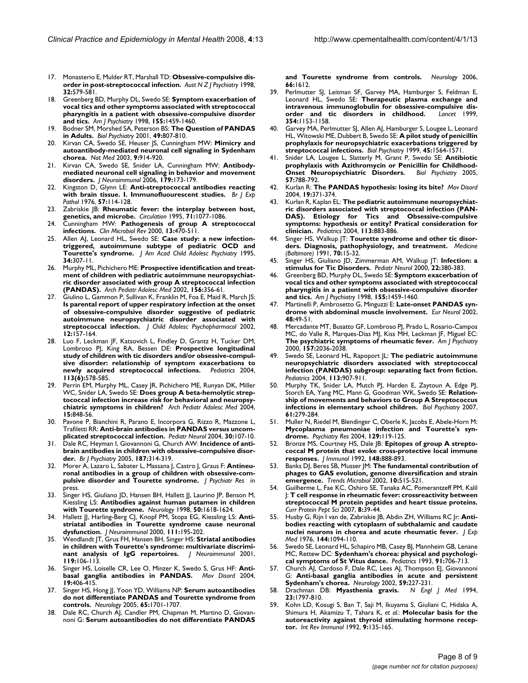- 17. Monasterio E, Mulder RT, Marshall TD: **[Obsessive-compulsive dis](http://www.ncbi.nlm.nih.gov/entrez/query.fcgi?cmd=Retrieve&db=PubMed&dopt=Abstract&list_uids=9711374)[order in post-streptococcal infection.](http://www.ncbi.nlm.nih.gov/entrez/query.fcgi?cmd=Retrieve&db=PubMed&dopt=Abstract&list_uids=9711374)** *Aust N Z J Psychiatry* 1998, **32:**579-581.
- 18. Greenberg BD, Murphy DL, Swedo SE: **[Symptom exacerbation of](http://www.ncbi.nlm.nih.gov/entrez/query.fcgi?cmd=Retrieve&db=PubMed&dopt=Abstract&list_uids=9766784) [vocal tics and other symptoms associated with streptococcal](http://www.ncbi.nlm.nih.gov/entrez/query.fcgi?cmd=Retrieve&db=PubMed&dopt=Abstract&list_uids=9766784) pharyngitis in a patient with obsessive-compulsive disorder [and tics.](http://www.ncbi.nlm.nih.gov/entrez/query.fcgi?cmd=Retrieve&db=PubMed&dopt=Abstract&list_uids=9766784)** *Am J Psychiatry* 1998, **155:**1459-1460.
- 19. Bodner SM, Morshed SA, Peterson BS: **[The Question of PANDAS](http://www.ncbi.nlm.nih.gov/entrez/query.fcgi?cmd=Retrieve&db=PubMed&dopt=Abstract&list_uids=11331090) [in Adults.](http://www.ncbi.nlm.nih.gov/entrez/query.fcgi?cmd=Retrieve&db=PubMed&dopt=Abstract&list_uids=11331090)** *Biol Psychiatry* 2001, **49:**807-810.
- 20. Kirvan CA, Swedo SE, Heuser JS, Cunningham MW: **[Mimicry and](http://www.ncbi.nlm.nih.gov/entrez/query.fcgi?cmd=Retrieve&db=PubMed&dopt=Abstract&list_uids=12819778) [autoantibody-mediated neuronal cell signaling in Sydenham](http://www.ncbi.nlm.nih.gov/entrez/query.fcgi?cmd=Retrieve&db=PubMed&dopt=Abstract&list_uids=12819778) [chorea.](http://www.ncbi.nlm.nih.gov/entrez/query.fcgi?cmd=Retrieve&db=PubMed&dopt=Abstract&list_uids=12819778)** *Nat Med* 2003, **9:**914-920.
- 21. Kirvan CA, Swedo SE, Snider LA, Cunningham MW: **[Antibody](http://www.ncbi.nlm.nih.gov/entrez/query.fcgi?cmd=Retrieve&db=PubMed&dopt=Abstract&list_uids=16875742)[mediated neuronal cell signaling in behavior and movement](http://www.ncbi.nlm.nih.gov/entrez/query.fcgi?cmd=Retrieve&db=PubMed&dopt=Abstract&list_uids=16875742) [disorders.](http://www.ncbi.nlm.nih.gov/entrez/query.fcgi?cmd=Retrieve&db=PubMed&dopt=Abstract&list_uids=16875742)** *J Neuroimmunol* 2006, **179:**173-179.
- 22. Kingston D, Glynn LE: **[Anti-streptococcal antibodies reacting](http://www.ncbi.nlm.nih.gov/entrez/query.fcgi?cmd=Retrieve&db=PubMed&dopt=Abstract&list_uids=773398) [with brain tissue. I. Immunofluourescent studies.](http://www.ncbi.nlm.nih.gov/entrez/query.fcgi?cmd=Retrieve&db=PubMed&dopt=Abstract&list_uids=773398)** *Br J Exp Pathol* 1976, **57:**114-128.
- 23. Zabriskie JB: **Rheumatic fever: the interplay between host, genetics, and microbe.** *Circulation* 1995, **71:**1077-1086.
- 24. Cunningham MW: **[Pathogenesis of group A streptococcal](http://www.ncbi.nlm.nih.gov/entrez/query.fcgi?cmd=Retrieve&db=PubMed&dopt=Abstract&list_uids=10885988) [infections.](http://www.ncbi.nlm.nih.gov/entrez/query.fcgi?cmd=Retrieve&db=PubMed&dopt=Abstract&list_uids=10885988)** *Clin Microbiol Rev* 2000, **13:**470-511.
- 25. Allen AJ, Leonard HL, Swedo SE: **[Case study: a new infection](http://www.ncbi.nlm.nih.gov/entrez/query.fcgi?cmd=Retrieve&db=PubMed&dopt=Abstract&list_uids=7896671)[triggered, autoimmune subtype of pediatric OCD and](http://www.ncbi.nlm.nih.gov/entrez/query.fcgi?cmd=Retrieve&db=PubMed&dopt=Abstract&list_uids=7896671) [Tourette's syndrome.](http://www.ncbi.nlm.nih.gov/entrez/query.fcgi?cmd=Retrieve&db=PubMed&dopt=Abstract&list_uids=7896671)** *J Am Acad Child Adolesc Psychiatry* 1995, **34:**307-11.
- 26. Murphy ML, Pichichero ME: **[Prospective identification and treat](http://www.ncbi.nlm.nih.gov/entrez/query.fcgi?cmd=Retrieve&db=PubMed&dopt=Abstract&list_uids=11929370)ment of children with pediatric autoimmune neuropsychiat[ric disorder associated with group A streptococcal infection](http://www.ncbi.nlm.nih.gov/entrez/query.fcgi?cmd=Retrieve&db=PubMed&dopt=Abstract&list_uids=11929370) [\(PANDAS\).](http://www.ncbi.nlm.nih.gov/entrez/query.fcgi?cmd=Retrieve&db=PubMed&dopt=Abstract&list_uids=11929370)** *Arch Pediatr Adolesc Med* 2002, **156:**356-61.
- Giulino L, Gammon P, Sullivan K, Franklin M, Foa E, Maid R, March JS: **Is parental report of upper respiratory infection at the onset [of obsessive-compulsive disorder suggestive of pediatric](http://www.ncbi.nlm.nih.gov/entrez/query.fcgi?cmd=Retrieve&db=PubMed&dopt=Abstract&list_uids=12188984) autoimmune neuropsychiatric disorder associated with [streptococcal infection.](http://www.ncbi.nlm.nih.gov/entrez/query.fcgi?cmd=Retrieve&db=PubMed&dopt=Abstract&list_uids=12188984)** *J Child Adolesc Psychopharmacol* 2002, **12:**157-164.
- 28. Luo F, Leckman JF, Katsovich L, Findley D, Grantz H, Tucker DM, Lombroso PJ, King RA, Bessen DE: **Prospective longitudinal study of children with tic disorders and/or obsessive-compulsive disorder: relationship of symptom exacerbations to newly acquired streptococcal infections.** *Pediatrics* 2004, **113(6):**578-585.
- 29. Perrin EM, Murphy ML, Casey JR, Pichichero ME, Runyan DK, Miller WC, Snider LA, Swedo SE: **Does group A beta-hemolytic streptococcal infection increase risk for behavioral and neuropsychiatric symptoms in children?** *Arch Pediatr Adolesc Med* 2004, **15:**848-56.
- 30. Pavone P, Bianchini R, Parano E, Incorpora G, Rizzo R, Mazzone L, Trafiletti RR: **[Anti-brain antibodies in PANDAS versus uncom](http://www.ncbi.nlm.nih.gov/entrez/query.fcgi?cmd=Retrieve&db=PubMed&dopt=Abstract&list_uids=14984902)[plicated streptococcal infection.](http://www.ncbi.nlm.nih.gov/entrez/query.fcgi?cmd=Retrieve&db=PubMed&dopt=Abstract&list_uids=14984902)** *Pediatr Neurol* 2004, **30:**107-10.
- 31. Dale RC, Heyman I, Giovannoni G, Church AW: **[Incidence of anti](http://www.ncbi.nlm.nih.gov/entrez/query.fcgi?cmd=Retrieve&db=PubMed&dopt=Abstract&list_uids=16199788)[brain antibodies in children with obsessive-compulsive disor](http://www.ncbi.nlm.nih.gov/entrez/query.fcgi?cmd=Retrieve&db=PubMed&dopt=Abstract&list_uids=16199788)[der.](http://www.ncbi.nlm.nih.gov/entrez/query.fcgi?cmd=Retrieve&db=PubMed&dopt=Abstract&list_uids=16199788)** *Br J Psychiatry* 2005, **187:**314-319.
- 32. Morer A, Lazaro L, Sabater L, Massana J, Castro J, Graus F: **Antineuronal antibodies in a group of children with obsessive-compulsive disorder and Tourette syndrome.** *J Psychiatr Res* in press.
- Singer HS, Giuliano JD, Hansen BH, Hallett JJ, Laurino JP, Benson M, Kiessling LS: **[Antibodies against human putamen in children](http://www.ncbi.nlm.nih.gov/entrez/query.fcgi?cmd=Retrieve&db=PubMed&dopt=Abstract&list_uids=9633702) [with Tourette syndrome.](http://www.ncbi.nlm.nih.gov/entrez/query.fcgi?cmd=Retrieve&db=PubMed&dopt=Abstract&list_uids=9633702)** *Neurology* 1998, **50:**1618-1624.
- 34. Hallett JJ, Harling-Berg CJ, Knopf PM, Stopa EG, Kiessling LS: **[Anti](http://www.ncbi.nlm.nih.gov/entrez/query.fcgi?cmd=Retrieve&db=PubMed&dopt=Abstract&list_uids=11063838)[striatal antibodies in Tourette syndrome cause neuronal](http://www.ncbi.nlm.nih.gov/entrez/query.fcgi?cmd=Retrieve&db=PubMed&dopt=Abstract&list_uids=11063838) [dysfunction.](http://www.ncbi.nlm.nih.gov/entrez/query.fcgi?cmd=Retrieve&db=PubMed&dopt=Abstract&list_uids=11063838)** *J Neuroimmunol* 2000, **111:**195-202.
- 35. Wendlandt JT, Grus FH, Hansen BH, Singer HS: **[Striatal antibodies](http://www.ncbi.nlm.nih.gov/entrez/query.fcgi?cmd=Retrieve&db=PubMed&dopt=Abstract&list_uids=11525807) [in children with Tourette's syndrome: multivariate discrimi](http://www.ncbi.nlm.nih.gov/entrez/query.fcgi?cmd=Retrieve&db=PubMed&dopt=Abstract&list_uids=11525807)[nant analysis of IgG repertoires.](http://www.ncbi.nlm.nih.gov/entrez/query.fcgi?cmd=Retrieve&db=PubMed&dopt=Abstract&list_uids=11525807)** *J Neuroimmunol* 2001, **119:**106-113.
- 36. Singer HS, Loiselle CR, Lee O, Minzer K, Swedo S, Grus HF: **[Anti](http://www.ncbi.nlm.nih.gov/entrez/query.fcgi?cmd=Retrieve&db=PubMed&dopt=Abstract&list_uids=15077238)[basal ganglia antibodies in PANDAS.](http://www.ncbi.nlm.nih.gov/entrez/query.fcgi?cmd=Retrieve&db=PubMed&dopt=Abstract&list_uids=15077238)** *Mov Disord* 2004, **19:**406-415.
- 37. Singer HS, Hong JJ, Yoon YD, Williams NP: **[Serum autoantibodies](http://www.ncbi.nlm.nih.gov/entrez/query.fcgi?cmd=Retrieve&db=PubMed&dopt=Abstract&list_uids=16207842) [do not differentiate PANDAS and Tourette syndrome from](http://www.ncbi.nlm.nih.gov/entrez/query.fcgi?cmd=Retrieve&db=PubMed&dopt=Abstract&list_uids=16207842) [controls.](http://www.ncbi.nlm.nih.gov/entrez/query.fcgi?cmd=Retrieve&db=PubMed&dopt=Abstract&list_uids=16207842)** *Neurology* 2005, **65:**1701-1707.
- 38. Dale RC, Church AJ, Candler PM, Chapman M, Martino D, Giovannoni G: **[Serum autoantibodies do not differentiate PANDAS](http://www.ncbi.nlm.nih.gov/entrez/query.fcgi?cmd=Retrieve&db=PubMed&dopt=Abstract&list_uids=16717245)**

**[and Tourette syndrome from controls.](http://www.ncbi.nlm.nih.gov/entrez/query.fcgi?cmd=Retrieve&db=PubMed&dopt=Abstract&list_uids=16717245)** *Neurology* 2006, **66:**1612.

- 39. Perlmutter SJ, Leitman SF, Garvey MA, Hamburger S, Feldman E, Leonard HL, Swedo SE: **[Therapeutic plasma exchange and](http://www.ncbi.nlm.nih.gov/entrez/query.fcgi?cmd=Retrieve&db=PubMed&dopt=Abstract&list_uids=10513708) [intravenous immunoglobulin for obsessive-compulsive dis](http://www.ncbi.nlm.nih.gov/entrez/query.fcgi?cmd=Retrieve&db=PubMed&dopt=Abstract&list_uids=10513708)**[order and tic disorders in childhood.](http://www.ncbi.nlm.nih.gov/entrez/query.fcgi?cmd=Retrieve&db=PubMed&dopt=Abstract&list_uids=10513708) **354:**1153-1158.
- Garvey MA, Perlmutter SJ, Allen AJ, Hamburger S, Lougee L, Leonard HL, Witowski ME, Dubbert B, Swedo SE: **[A pilot study of penicillin](http://www.ncbi.nlm.nih.gov/entrez/query.fcgi?cmd=Retrieve&db=PubMed&dopt=Abstract&list_uids=10376116) [prophylaxis for neuropsychiatric exacerbations triggered by](http://www.ncbi.nlm.nih.gov/entrez/query.fcgi?cmd=Retrieve&db=PubMed&dopt=Abstract&list_uids=10376116) [streptococcal infections.](http://www.ncbi.nlm.nih.gov/entrez/query.fcgi?cmd=Retrieve&db=PubMed&dopt=Abstract&list_uids=10376116)** *Biol Psychiatry* 1999, **45:**1564-1571.
- 41. Snider LA, Lougee L, Slatterly M, Grant P, Swedo SE: **[Antibiotic](http://www.ncbi.nlm.nih.gov/entrez/query.fcgi?cmd=Retrieve&db=PubMed&dopt=Abstract&list_uids=15820236)** prophylaxis with Azithromycin or Penicillin for Childhood-<br>Onset Neuropsychiatric Disorders. Biol Psychiatry 2005, **[Onset Neuropsychiatric Disorders.](http://www.ncbi.nlm.nih.gov/entrez/query.fcgi?cmd=Retrieve&db=PubMed&dopt=Abstract&list_uids=15820236) 57:**788-792.
- 42. Kurlan R: **[The PANDAS hypothesis: losing its bite?](http://www.ncbi.nlm.nih.gov/entrez/query.fcgi?cmd=Retrieve&db=PubMed&dopt=Abstract&list_uids=15077234)** *Mov Disord* 2004, **19:**371-374.
- 43. Kurlan R, Kaplan EL: **[The pediatric autoimmune neuropsychiat](http://www.ncbi.nlm.nih.gov/entrez/query.fcgi?cmd=Retrieve&db=PubMed&dopt=Abstract&list_uids=15060240)[ric disorders associated with streptococcal infection \(PAN-](http://www.ncbi.nlm.nih.gov/entrez/query.fcgi?cmd=Retrieve&db=PubMed&dopt=Abstract&list_uids=15060240)DAS). Etiology for Tics and Obsessive-compulsive symptoms: hypothesis or entity? Pratical consideration for [clinician.](http://www.ncbi.nlm.nih.gov/entrez/query.fcgi?cmd=Retrieve&db=PubMed&dopt=Abstract&list_uids=15060240)** *Pediatrics* 2004, **113:**883-886.
- 44. Singer HS, Walkup JT: **[Tourette syndrome and other tic disor](http://www.ncbi.nlm.nih.gov/entrez/query.fcgi?cmd=Retrieve&db=PubMed&dopt=Abstract&list_uids=1988764)[ders. Diagnosis, pathophysiology, and treatment.](http://www.ncbi.nlm.nih.gov/entrez/query.fcgi?cmd=Retrieve&db=PubMed&dopt=Abstract&list_uids=1988764)** *Medicine (Baltimore)* 1991, **70:**15-32.
- 45. Singer HS, Giuliano JD, Zimmerman AM, Walkup JT: **[Infection: a](http://www.ncbi.nlm.nih.gov/entrez/query.fcgi?cmd=Retrieve&db=PubMed&dopt=Abstract&list_uids=10913730) [stimulus for Tic Disorders.](http://www.ncbi.nlm.nih.gov/entrez/query.fcgi?cmd=Retrieve&db=PubMed&dopt=Abstract&list_uids=10913730)** *Pediatr Neurol* 2000, **22:**380-383.
- 46. Greenberg BD, Murphy DL, Swedo SE: **[Symptom exacerbation of](http://www.ncbi.nlm.nih.gov/entrez/query.fcgi?cmd=Retrieve&db=PubMed&dopt=Abstract&list_uids=9766784) [vocal tics and other symptoms associated with streptococcal](http://www.ncbi.nlm.nih.gov/entrez/query.fcgi?cmd=Retrieve&db=PubMed&dopt=Abstract&list_uids=9766784) pharyngitis in a patient with obsessive-compulsive disorder [and tics.](http://www.ncbi.nlm.nih.gov/entrez/query.fcgi?cmd=Retrieve&db=PubMed&dopt=Abstract&list_uids=9766784)** *Am J Psychiatry* 1998, **155:**1459-1460.
- 47. Martinelli P, Ambrosetto G, Minguzzi E: **[Late-onset PANDAS syn](http://www.ncbi.nlm.nih.gov/entrez/query.fcgi?cmd=Retrieve&db=PubMed&dopt=Abstract&list_uids=12138313)[drome with abdominal muscle involvement.](http://www.ncbi.nlm.nih.gov/entrez/query.fcgi?cmd=Retrieve&db=PubMed&dopt=Abstract&list_uids=12138313)** *Eur Neurol* 2002, **48:**49-51.
- 48. Mercadante MT, Busatto GF, Lombroso PJ, Prado L, Rosario-Campos MC, do Valle R, Marques-Dias MJ, Kiss MH, Leckman JF, Miguel EC: **[The psychiatric symptoms of rheumatic fever.](http://www.ncbi.nlm.nih.gov/entrez/query.fcgi?cmd=Retrieve&db=PubMed&dopt=Abstract&list_uids=11097972)** *Am J Psychiatry* 2000, **157:**2036-2038.
- 49. Swedo SE, Leonard HL, Rapoport JL: **[The pediatric autoimmune](http://www.ncbi.nlm.nih.gov/entrez/query.fcgi?cmd=Retrieve&db=PubMed&dopt=Abstract&list_uids=15060242) neuropsychiatric disorders associated with streptococcal [infection \(PANDAS\) subgroup: separating fact from fiction.](http://www.ncbi.nlm.nih.gov/entrez/query.fcgi?cmd=Retrieve&db=PubMed&dopt=Abstract&list_uids=15060242)** *Pediatrics* 2004, **113:**907-911.
- 50. Murphy TK, Snider LA, Mutch PJ, Harden E, Zaytoun A, Edge PJ, Storch EA, Yang MC, Mann G, Goodman WK, Swedo SE: **[Relation](http://www.ncbi.nlm.nih.gov/entrez/query.fcgi?cmd=Retrieve&db=PubMed&dopt=Abstract&list_uids=17126304)[ship of movements and behaviors to Group A Streptococcus](http://www.ncbi.nlm.nih.gov/entrez/query.fcgi?cmd=Retrieve&db=PubMed&dopt=Abstract&list_uids=17126304) [infections in elementary school children.](http://www.ncbi.nlm.nih.gov/entrez/query.fcgi?cmd=Retrieve&db=PubMed&dopt=Abstract&list_uids=17126304)** *Biol Psychiatry* 2007, **61:**279-284.
- Muller N, Riedel M, Blendinger C, Oberle K, Jacobs E, Abele-Horn M: **[Mycoplasma pneumoniae infection and Tourette's syn](http://www.ncbi.nlm.nih.gov/entrez/query.fcgi?cmd=Retrieve&db=PubMed&dopt=Abstract&list_uids=15590039)[drome.](http://www.ncbi.nlm.nih.gov/entrez/query.fcgi?cmd=Retrieve&db=PubMed&dopt=Abstract&list_uids=15590039)** *Psychiatry Res* 2004, **129:**119-125.
- 52. Bronze MS, Courtney HS, Dale JB: **[Epitopes of group A strepto](http://www.ncbi.nlm.nih.gov/entrez/query.fcgi?cmd=Retrieve&db=PubMed&dopt=Abstract&list_uids=1370521)[coccal M protein that evoke cross-protective local immune](http://www.ncbi.nlm.nih.gov/entrez/query.fcgi?cmd=Retrieve&db=PubMed&dopt=Abstract&list_uids=1370521) [responses.](http://www.ncbi.nlm.nih.gov/entrez/query.fcgi?cmd=Retrieve&db=PubMed&dopt=Abstract&list_uids=1370521)** *J Immunol* 1992, **148:**888-893.
- 53. Banks DJ, Beres SB, Musser JM: **[The fundamental contribution of](http://www.ncbi.nlm.nih.gov/entrez/query.fcgi?cmd=Retrieve&db=PubMed&dopt=Abstract&list_uids=12419616) [phages to GAS evolution, genome diversification and strain](http://www.ncbi.nlm.nih.gov/entrez/query.fcgi?cmd=Retrieve&db=PubMed&dopt=Abstract&list_uids=12419616) [emergence.](http://www.ncbi.nlm.nih.gov/entrez/query.fcgi?cmd=Retrieve&db=PubMed&dopt=Abstract&list_uids=12419616)** *Trends Microbiol* 2002, **10:**515-521.
- 54. Guilherme L, Fae KC, Oshiro SE, Tanaka AC, Pomerantzeff PM, Kalil J: **[T cell response in rheumatic fever: crossreactivity between](http://www.ncbi.nlm.nih.gov/entrez/query.fcgi?cmd=Retrieve&db=PubMed&dopt=Abstract&list_uids=17305559) [streptococcal M protein peptides and heart tissue proteins.](http://www.ncbi.nlm.nih.gov/entrez/query.fcgi?cmd=Retrieve&db=PubMed&dopt=Abstract&list_uids=17305559)** *Curr Protein Pept Sci* 2007, **8:**39-44.
- 55. Husby G, Rijn I van de, Zabriskie JB, Abdin ZH, Williams RC Jr: **[Anti](http://www.ncbi.nlm.nih.gov/entrez/query.fcgi?cmd=Retrieve&db=PubMed&dopt=Abstract&list_uids=789810)[bodies reacting with cytoplasm of subthalamic and caudate](http://www.ncbi.nlm.nih.gov/entrez/query.fcgi?cmd=Retrieve&db=PubMed&dopt=Abstract&list_uids=789810) [nuclei neurons in chorea and acute rheumatic fever.](http://www.ncbi.nlm.nih.gov/entrez/query.fcgi?cmd=Retrieve&db=PubMed&dopt=Abstract&list_uids=789810)** *J Exp Med* 1976, **144:**1094-110.
- 56. Swedo SE, Leonard HL, Schapiro MB, Casey BJ, Mannheim GB, Lenane MC, Rettew DC: **[Sydenham's chorea: physical and psychologi](http://www.ncbi.nlm.nih.gov/entrez/query.fcgi?cmd=Retrieve&db=PubMed&dopt=Abstract&list_uids=8464654)[cal symptoms of St Vitus dance.](http://www.ncbi.nlm.nih.gov/entrez/query.fcgi?cmd=Retrieve&db=PubMed&dopt=Abstract&list_uids=8464654)** *Pediatrics* 1993, **91:**706-713.
- Church AJ, Cardoso F, Dale RC, Lees AJ, Thompson EJ, Giovannoni G: **[Anti-basal ganglia antibodies in acute and persistent](http://www.ncbi.nlm.nih.gov/entrez/query.fcgi?cmd=Retrieve&db=PubMed&dopt=Abstract&list_uids=12136062) [Sydenham's chorea.](http://www.ncbi.nlm.nih.gov/entrez/query.fcgi?cmd=Retrieve&db=PubMed&dopt=Abstract&list_uids=12136062)** *Neurology* 2002, **59:**227-231.
- 58. Drachman DB: Myasthenia gravis. **23:**1797-810.
- 59. Kohn LD, Kosugi S, Ban T, Saji M, Ikuyama S, Giuliani C, Hidaka A, Shimura H, Akamizu T, Tahara K, *et al.*: **[Molecular basis for the](http://www.ncbi.nlm.nih.gov/entrez/query.fcgi?cmd=Retrieve&db=PubMed&dopt=Abstract&list_uids=1283175) [autoreactivity against thyroid stimulating hormone recep](http://www.ncbi.nlm.nih.gov/entrez/query.fcgi?cmd=Retrieve&db=PubMed&dopt=Abstract&list_uids=1283175)[tor.](http://www.ncbi.nlm.nih.gov/entrez/query.fcgi?cmd=Retrieve&db=PubMed&dopt=Abstract&list_uids=1283175)** *Int Rev Immunol* 1992, **9:**135-165.